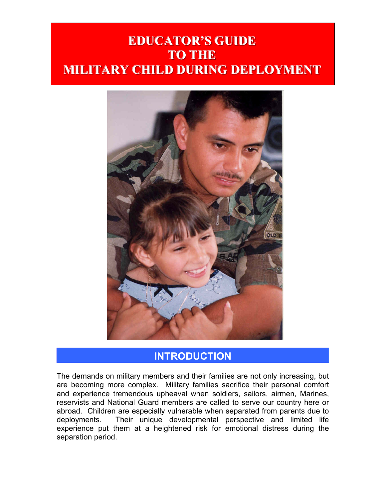# **EDUCATOR'S GUIDE TO THE MILITARY CHILD DURING DEPLOYMENT**



# **INTRODUCTION**

The demands on military members and their families are not only increasing, but are becoming more complex. Military families sacrifice their personal comfort and experience tremendous upheaval when soldiers, sailors, airmen, Marines, reservists and National Guard members are called to serve our country here or abroad. Children are especially vulnerable when separated from parents due to deployments. Their unique developmental perspective and limited life experience put them at a heightened risk for emotional distress during the separation period.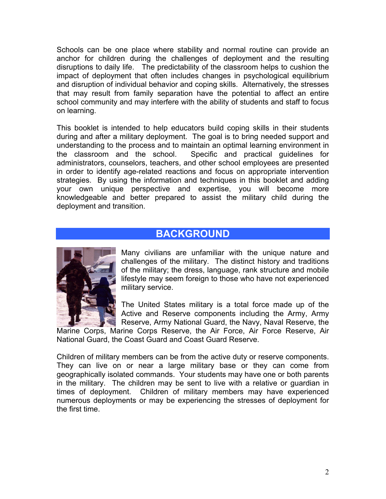Schools can be one place where stability and normal routine can provide an anchor for children during the challenges of deployment and the resulting disruptions to daily life. The predictability of the classroom helps to cushion the impact of deployment that often includes changes in psychological equilibrium and disruption of individual behavior and coping skills. Alternatively, the stresses that may result from family separation have the potential to affect an entire school community and may interfere with the ability of students and staff to focus on learning.

This booklet is intended to help educators build coping skills in their students during and after a military deployment. The goal is to bring needed support and understanding to the process and to maintain an optimal learning environment in the classroom and the school. Specific and practical guidelines for administrators, counselors, teachers, and other school employees are presented in order to identify age-related reactions and focus on appropriate intervention strategies. By using the information and techniques in this booklet and adding your own unique perspective and expertise, you will become more knowledgeable and better prepared to assist the military child during the deployment and transition.

### **BACKGROUND**



Many civilians are unfamiliar with the unique nature and challenges of the military. The distinct history and traditions of the military; the dress, language, rank structure and mobile lifestyle may seem foreign to those who have not experienced military service.

The United States military is a total force made up of the Active and Reserve components including the Army, Army Reserve, Army National Guard, the Navy, Naval Reserve, the

Marine Corps, Marine Corps Reserve, the Air Force, Air Force Reserve, Air National Guard, the Coast Guard and Coast Guard Reserve.

Children of military members can be from the active duty or reserve components. They can live on or near a large military base or they can come from geographically isolated commands. Your students may have one or both parents in the military. The children may be sent to live with a relative or guardian in times of deployment. Children of military members may have experienced numerous deployments or may be experiencing the stresses of deployment for the first time.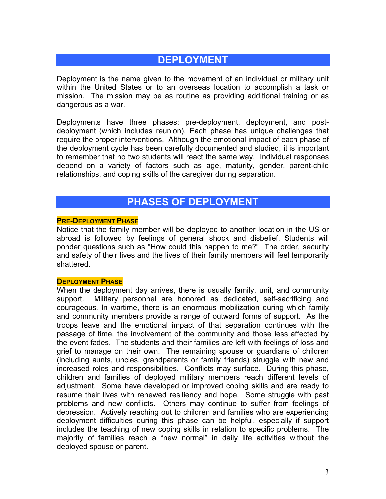# **DEPLOYMENT**

Deployment is the name given to the movement of an individual or military unit within the United States or to an overseas location to accomplish a task or mission. The mission may be as routine as providing additional training or as dangerous as a war.

Deployments have three phases: pre-deployment, deployment, and postdeployment (which includes reunion). Each phase has unique challenges that require the proper interventions. Although the emotional impact of each phase of the deployment cycle has been carefully documented and studied, it is important to remember that no two students will react the same way. Individual responses depend on a variety of factors such as age, maturity, gender, parent-child relationships, and coping skills of the caregiver during separation.

### **PHASES OF DEPLOYMENT**

### **PRE-DEPLOYMENT PHASE**

Notice that the family member will be deployed to another location in the US or abroad is followed by feelings of general shock and disbelief. Students will ponder questions such as "How could this happen to me?" The order, security and safety of their lives and the lives of their family members will feel temporarily shattered.

### **DEPLOYMENT PHASE**

When the deployment day arrives, there is usually family, unit, and community support. Military personnel are honored as dedicated, self-sacrificing and courageous. In wartime, there is an enormous mobilization during which family and community members provide a range of outward forms of support. As the troops leave and the emotional impact of that separation continues with the passage of time, the involvement of the community and those less affected by the event fades. The students and their families are left with feelings of loss and grief to manage on their own. The remaining spouse or guardians of children (including aunts, uncles, grandparents or family friends) struggle with new and increased roles and responsibilities. Conflicts may surface. During this phase, children and families of deployed military members reach different levels of adjustment. Some have developed or improved coping skills and are ready to resume their lives with renewed resiliency and hope. Some struggle with past problems and new conflicts. Others may continue to suffer from feelings of depression. Actively reaching out to children and families who are experiencing deployment difficulties during this phase can be helpful, especially if support includes the teaching of new coping skills in relation to specific problems. The majority of families reach a "new normal" in daily life activities without the deployed spouse or parent.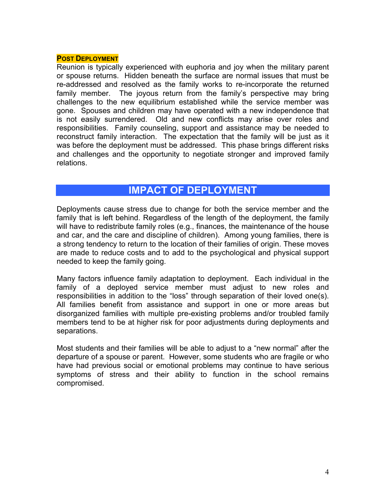#### **POST DEPLOYMENT**

Reunion is typically experienced with euphoria and joy when the military parent or spouse returns. Hidden beneath the surface are normal issues that must be re-addressed and resolved as the family works to re-incorporate the returned family member. The joyous return from the family's perspective may bring challenges to the new equilibrium established while the service member was gone. Spouses and children may have operated with a new independence that is not easily surrendered. Old and new conflicts may arise over roles and responsibilities. Family counseling, support and assistance may be needed to reconstruct family interaction. The expectation that the family will be just as it was before the deployment must be addressed. This phase brings different risks and challenges and the opportunity to negotiate stronger and improved family relations.

### **IMPACT OF DEPLOYMENT**

Deployments cause stress due to change for both the service member and the family that is left behind. Regardless of the length of the deployment, the family will have to redistribute family roles (e.g., finances, the maintenance of the house and car, and the care and discipline of children). Among young families, there is a strong tendency to return to the location of their families of origin. These moves are made to reduce costs and to add to the psychological and physical support needed to keep the family going.

Many factors influence family adaptation to deployment. Each individual in the family of a deployed service member must adjust to new roles and responsibilities in addition to the "loss" through separation of their loved one(s). All families benefit from assistance and support in one or more areas but disorganized families with multiple pre-existing problems and/or troubled family members tend to be at higher risk for poor adjustments during deployments and separations.

Most students and their families will be able to adjust to a "new normal" after the departure of a spouse or parent. However, some students who are fragile or who have had previous social or emotional problems may continue to have serious symptoms of stress and their ability to function in the school remains compromised.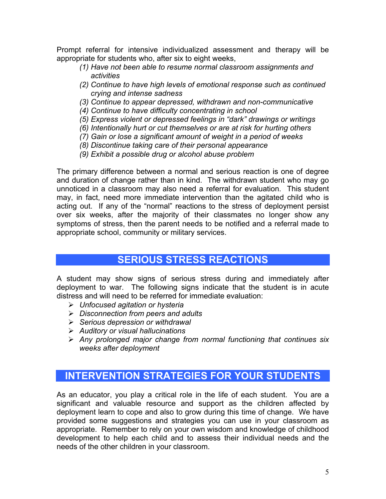Prompt referral for intensive individualized assessment and therapy will be appropriate for students who, after six to eight weeks,

- *(1) Have not been able to resume normal classroom assignments and activities*
- *(2) Continue to have high levels of emotional response such as continued crying and intense sadness*
- *(3) Continue to appear depressed, withdrawn and non-communicative*
- *(4) Continue to have difficulty concentrating in school*
- *(5) Express violent or depressed feelings in "dark" drawings or writings*
- *(6) Intentionally hurt or cut themselves or are at risk for hurting others*
- *(7) Gain or lose a significant amount of weight in a period of weeks*
- *(8) Discontinue taking care of their personal appearance*
- *(9) Exhibit a possible drug or alcohol abuse problem*

The primary difference between a normal and serious reaction is one of degree and duration of change rather than in kind. The withdrawn student who may go unnoticed in a classroom may also need a referral for evaluation. This student may, in fact, need more immediate intervention than the agitated child who is acting out. If any of the "normal" reactions to the stress of deployment persist over six weeks, after the majority of their classmates no longer show any symptoms of stress, then the parent needs to be notified and a referral made to appropriate school, community or military services.

### **SERIOUS STRESS REACTIONS**

A student may show signs of serious stress during and immediately after deployment to war. The following signs indicate that the student is in acute distress and will need to be referred for immediate evaluation:

- ¾ *Unfocused agitation or hysteria*
- ¾ *Disconnection from peers and adults*
- ¾ *Serious depression or withdrawal*
- ¾ *Auditory or visual hallucinations*
- ¾ *Any prolonged major change from normal functioning that continues six weeks after deployment*

# **INTERVENTION STRATEGIES FOR YOUR STUDENTS**

As an educator, you play a critical role in the life of each student. You are a significant and valuable resource and support as the children affected by deployment learn to cope and also to grow during this time of change. We have provided some suggestions and strategies you can use in your classroom as appropriate. Remember to rely on your own wisdom and knowledge of childhood development to help each child and to assess their individual needs and the needs of the other children in your classroom.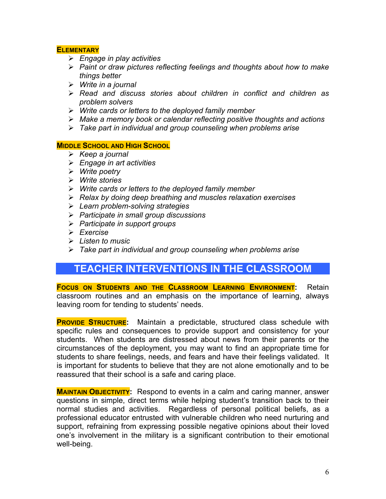### **ELEMENTARY**

- ¾ *Engage in play activities*
- ¾ *Paint or draw pictures reflecting feelings and thoughts about how to make things better*
- ¾ *Write in a journal*
- ¾ *Read and discuss stories about children in conflict and children as problem solvers*
- ¾ *Write cards or letters to the deployed family member*
- ¾ *Make a memory book or calendar reflecting positive thoughts and actions*
- ¾ *Take part in individual and group counseling when problems arise*

### **MIDDLE SCHOOL AND HIGH SCHOOL**

- ¾ *Keep a journal*
- ¾ *Engage in art activities*
- ¾ *Write poetry*
- ¾ *Write stories*
- ¾ *Write cards or letters to the deployed family member*
- ¾ *Relax by doing deep breathing and muscles relaxation exercises*
- ¾ *Learn problem-solving strategies*
- ¾ *Participate in small group discussions*
- ¾ *Participate in support groups*
- ¾ *Exercise*
- ¾ *Listen to music*
- ¾ *Take part in individual and group counseling when problems arise*

### **TEACHER INTERVENTIONS IN THE CLASSROOM**

**FOCUS ON STUDENTS AND THE CLASSROOM LEARNING ENVIRONMENT:** Retain classroom routines and an emphasis on the importance of learning, always leaving room for tending to students' needs.

**PROVIDE STRUCTURE:** Maintain a predictable, structured class schedule with specific rules and consequences to provide support and consistency for your students. When students are distressed about news from their parents or the circumstances of the deployment, you may want to find an appropriate time for students to share feelings, needs, and fears and have their feelings validated. It is important for students to believe that they are not alone emotionally and to be reassured that their school is a safe and caring place.

**MAINTAIN OBJECTIVITY:** Respond to events in a calm and caring manner, answer questions in simple, direct terms while helping student's transition back to their normal studies and activities. Regardless of personal political beliefs, as a professional educator entrusted with vulnerable children who need nurturing and support, refraining from expressing possible negative opinions about their loved one's involvement in the military is a significant contribution to their emotional well-being.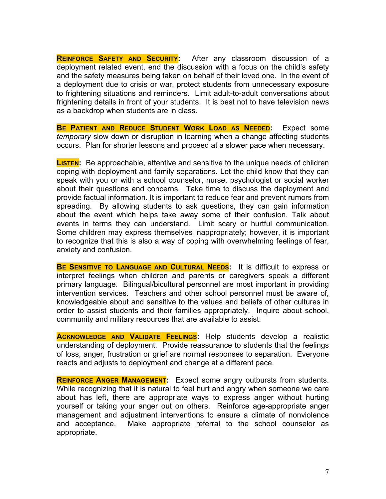**REINFORCE SAFETY AND SECURITY:** After any classroom discussion of a deployment related event, end the discussion with a focus on the child's safety and the safety measures being taken on behalf of their loved one. In the event of a deployment due to crisis or war, protect students from unnecessary exposure to frightening situations and reminders. Limit adult-to-adult conversations about frightening details in front of your students. It is best not to have television news as a backdrop when students are in class.

**BE PATIENT AND REDUCE STUDENT WORK LOAD AS NEEDED:** Expect some *temporary* slow down or disruption in learning when a change affecting students occurs. Plan for shorter lessons and proceed at a slower pace when necessary.

**LISTEN:** Be approachable, attentive and sensitive to the unique needs of children coping with deployment and family separations. Let the child know that they can speak with you or with a school counselor, nurse, psychologist or social worker about their questions and concerns. Take time to discuss the deployment and provide factual information. It is important to reduce fear and prevent rumors from spreading. By allowing students to ask questions, they can gain information about the event which helps take away some of their confusion. Talk about events in terms they can understand. Limit scary or hurtful communication. Some children may express themselves inappropriately; however, it is important to recognize that this is also a way of coping with overwhelming feelings of fear, anxiety and confusion.

**BE SENSITIVE TO LANGUAGE AND CULTURAL NEEDS:** It is difficult to express or interpret feelings when children and parents or caregivers speak a different primary language. Bilingual/bicultural personnel are most important in providing intervention services. Teachers and other school personnel must be aware of, knowledgeable about and sensitive to the values and beliefs of other cultures in order to assist students and their families appropriately. Inquire about school, community and military resources that are available to assist.

**ACKNOWLEDGE AND VALIDATE FEELINGS:** Help students develop a realistic understanding of deployment. Provide reassurance to students that the feelings of loss, anger, frustration or grief are normal responses to separation. Everyone reacts and adjusts to deployment and change at a different pace.

**REINFORCE ANGER MANAGEMENT:** Expect some angry outbursts from students. While recognizing that it is natural to feel hurt and angry when someone we care about has left, there are appropriate ways to express anger without hurting yourself or taking your anger out on others. Reinforce age-appropriate anger management and adjustment interventions to ensure a climate of nonviolence and acceptance. Make appropriate referral to the school counselor as appropriate.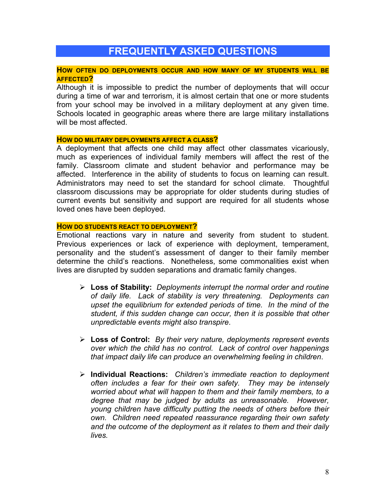## **FREQUENTLY ASKED QUESTIONS**

#### **HOW OFTEN DO DEPLOYMENTS OCCUR AND HOW MANY OF MY STUDENTS WILL BE AFFECTED?**

Although it is impossible to predict the number of deployments that will occur during a time of war and terrorism, it is almost certain that one or more students from your school may be involved in a military deployment at any given time. Schools located in geographic areas where there are large military installations will be most affected.

#### **HOW DO MILITARY DEPLOYMENTS AFFECT A CLASS?**

A deployment that affects one child may affect other classmates vicariously, much as experiences of individual family members will affect the rest of the family. Classroom climate and student behavior and performance may be affected. Interference in the ability of students to focus on learning can result. Administrators may need to set the standard for school climate. Thoughtful classroom discussions may be appropriate for older students during studies of current events but sensitivity and support are required for all students whose loved ones have been deployed.

#### **HOW DO STUDENTS REACT TO DEPLOYMENT?**

Emotional reactions vary in nature and severity from student to student. Previous experiences or lack of experience with deployment, temperament, personality and the student's assessment of danger to their family member determine the child's reactions. Nonetheless, some commonalities exist when lives are disrupted by sudden separations and dramatic family changes.

- ¾ **Loss of Stability:** *Deployments interrupt the normal order and routine of daily life. Lack of stability is very threatening. Deployments can upset the equilibrium for extended periods of time. In the mind of the student, if this sudden change can occur, then it is possible that other unpredictable events might also transpire*.
- ¾ **Loss of Control:** *By their very nature, deployments represent events over which the child has no control. Lack of control over happenings that impact daily life can produce an overwhelming feeling in children*.
- ¾ **Individual Reactions:** *Children's immediate reaction to deployment often includes a fear for their own safety. They may be intensely worried about what will happen to them and their family members, to a degree that may be judged by adults as unreasonable. However, young children have difficulty putting the needs of others before their own. Children need repeated reassurance regarding their own safety and the outcome of the deployment as it relates to them and their daily lives.*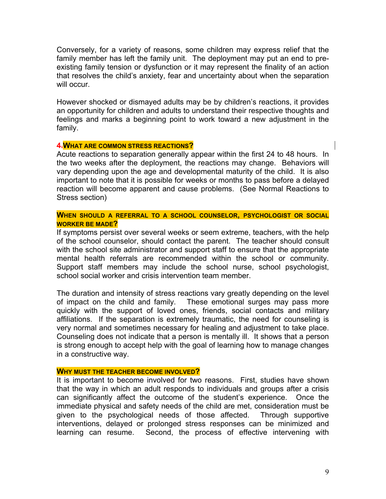Conversely, for a variety of reasons, some children may express relief that the family member has left the family unit. The deployment may put an end to preexisting family tension or dysfunction or it may represent the finality of an action that resolves the child's anxiety, fear and uncertainty about when the separation will occur.

However shocked or dismayed adults may be by children's reactions, it provides an opportunity for children and adults to understand their respective thoughts and feelings and marks a beginning point to work toward a new adjustment in the family.

#### **4.WHAT ARE COMMON STRESS REACTIONS?**

Acute reactions to separation generally appear within the first 24 to 48 hours. In the two weeks after the deployment, the reactions may change. Behaviors will vary depending upon the age and developmental maturity of the child. It is also important to note that it is possible for weeks or months to pass before a delayed reaction will become apparent and cause problems. (See Normal Reactions to Stress section)

### **WHEN SHOULD A REFERRAL TO A SCHOOL COUNSELOR, PSYCHOLOGIST OR SOCIAL WORKER BE MADE?**

If symptoms persist over several weeks or seem extreme, teachers, with the help of the school counselor, should contact the parent. The teacher should consult with the school site administrator and support staff to ensure that the appropriate mental health referrals are recommended within the school or community. Support staff members may include the school nurse, school psychologist, school social worker and crisis intervention team member.

The duration and intensity of stress reactions vary greatly depending on the level of impact on the child and family. These emotional surges may pass more quickly with the support of loved ones, friends, social contacts and military affiliations. If the separation is extremely traumatic, the need for counseling is very normal and sometimes necessary for healing and adjustment to take place. Counseling does not indicate that a person is mentally ill. It shows that a person is strong enough to accept help with the goal of learning how to manage changes in a constructive way.

#### **WHY MUST THE TEACHER BECOME INVOLVED?**

It is important to become involved for two reasons. First, studies have shown that the way in which an adult responds to individuals and groups after a crisis can significantly affect the outcome of the student's experience. Once the immediate physical and safety needs of the child are met, consideration must be given to the psychological needs of those affected. Through supportive interventions, delayed or prolonged stress responses can be minimized and learning can resume. Second, the process of effective intervening with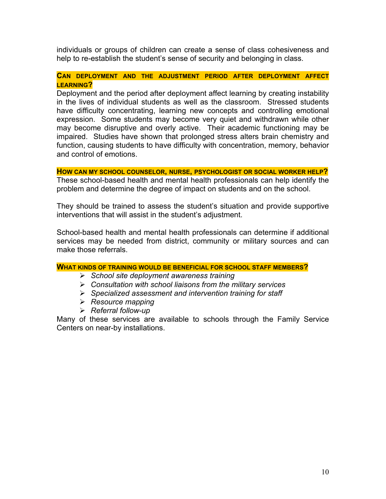individuals or groups of children can create a sense of class cohesiveness and help to re-establish the student's sense of security and belonging in class.

### **CAN DEPLOYMENT AND THE ADJUSTMENT PERIOD AFTER DEPLOYMENT AFFECT LEARNING?**

Deployment and the period after deployment affect learning by creating instability in the lives of individual students as well as the classroom. Stressed students have difficulty concentrating, learning new concepts and controlling emotional expression. Some students may become very quiet and withdrawn while other may become disruptive and overly active. Their academic functioning may be impaired. Studies have shown that prolonged stress alters brain chemistry and function, causing students to have difficulty with concentration, memory, behavior and control of emotions.

**HOW CAN MY SCHOOL COUNSELOR, NURSE, PSYCHOLOGIST OR SOCIAL WORKER HELP?**  These school-based health and mental health professionals can help identify the problem and determine the degree of impact on students and on the school.

They should be trained to assess the student's situation and provide supportive interventions that will assist in the student's adjustment.

School-based health and mental health professionals can determine if additional services may be needed from district, community or military sources and can make those referrals.

- ¾ *School site deployment awareness training*
- ¾ *Consultation with school liaisons from the military services*
- ¾ *Specialized assessment and intervention training for staff*
- ¾ *Resource mapping*
- ¾ *Referral follow-up*

Many of these services are available to schools through the Family Service Centers on near-by installations.